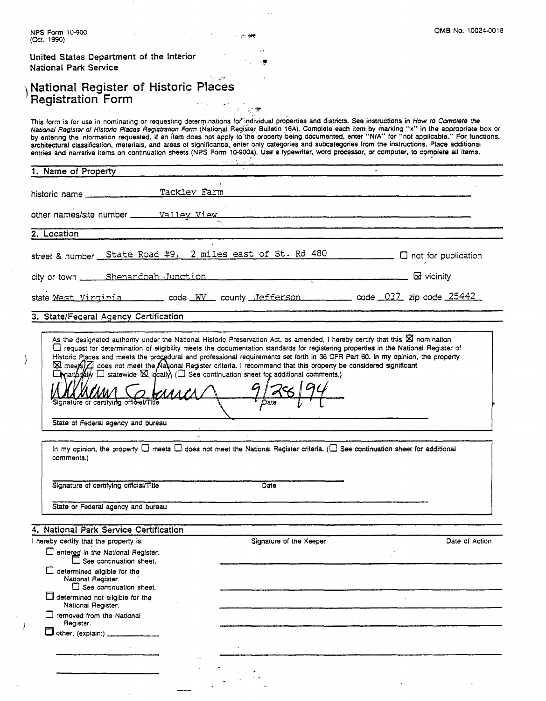| NPS Form 10-900<br>(Oct. 1990)                                                                                                                                                                                                                                                                                                                                                                                                                                                                                                                                                                                                                                                                                                                                         | OMB No. 10024-0018   |
|------------------------------------------------------------------------------------------------------------------------------------------------------------------------------------------------------------------------------------------------------------------------------------------------------------------------------------------------------------------------------------------------------------------------------------------------------------------------------------------------------------------------------------------------------------------------------------------------------------------------------------------------------------------------------------------------------------------------------------------------------------------------|----------------------|
| United States Department of the Interior<br><b>National Park Service</b>                                                                                                                                                                                                                                                                                                                                                                                                                                                                                                                                                                                                                                                                                               |                      |
| National Register of Historic Places<br><b>Registration Form</b>                                                                                                                                                                                                                                                                                                                                                                                                                                                                                                                                                                                                                                                                                                       |                      |
|                                                                                                                                                                                                                                                                                                                                                                                                                                                                                                                                                                                                                                                                                                                                                                        |                      |
| This form is for use in nominating or requesting determinations for individual properties and districts. See instructions in How to Complete the<br>National Register of Historic Places Registration Form (National Register Bulletin 16A). Complete each item by marking "x" in the appropriate box or<br>by entering the information requested. If an item does not apply to the property being documented, enter "N/A" for "not applicable." For functions,<br>architectural classification, materials, and areas of significance, enter only categories and subcategories from the instructions. Place additional<br>entries and narrative items on continuation sheets (NPS Form 10-900a). Use a typewriter, word processor, or computer, to complete all items. |                      |
| 1. Name of Property                                                                                                                                                                                                                                                                                                                                                                                                                                                                                                                                                                                                                                                                                                                                                    |                      |
|                                                                                                                                                                                                                                                                                                                                                                                                                                                                                                                                                                                                                                                                                                                                                                        |                      |
| historic name _______________Tackley Farm                                                                                                                                                                                                                                                                                                                                                                                                                                                                                                                                                                                                                                                                                                                              |                      |
| other names/site number _____ Valley View ___                                                                                                                                                                                                                                                                                                                                                                                                                                                                                                                                                                                                                                                                                                                          |                      |
| 2. Location                                                                                                                                                                                                                                                                                                                                                                                                                                                                                                                                                                                                                                                                                                                                                            |                      |
|                                                                                                                                                                                                                                                                                                                                                                                                                                                                                                                                                                                                                                                                                                                                                                        |                      |
| street & number State Road #9, 2 miles east of St. Rd 480 ___________ 0 not for publication                                                                                                                                                                                                                                                                                                                                                                                                                                                                                                                                                                                                                                                                            |                      |
|                                                                                                                                                                                                                                                                                                                                                                                                                                                                                                                                                                                                                                                                                                                                                                        | $\boxtimes$ vicinity |
| state Mest Virginia __________ code WV __ county _Jefferson ___________ code _037_ zip code 25442                                                                                                                                                                                                                                                                                                                                                                                                                                                                                                                                                                                                                                                                      |                      |
| 3. State/Federal Agency Certification                                                                                                                                                                                                                                                                                                                                                                                                                                                                                                                                                                                                                                                                                                                                  |                      |
| As the designated authority under the National Historic Preservation Act, as amended, I hereby certify that this $\boxtimes$ nomination                                                                                                                                                                                                                                                                                                                                                                                                                                                                                                                                                                                                                                |                      |
| ⊠ meets) a does not meet the National Register criteria. I recommend that this property be considered significant                                                                                                                                                                                                                                                                                                                                                                                                                                                                                                                                                                                                                                                      |                      |
| $\Gamma$ mationally $\Box$ statewide $\boxtimes$ ideally ( $\Box$ See continuation sheet for additional comments.)<br>$\mathcal{U}\Lambda \mathcal{L}\Lambda$<br>Signature of certifying official/Title<br>Date                                                                                                                                                                                                                                                                                                                                                                                                                                                                                                                                                        |                      |
| State of Federal agency and bureau                                                                                                                                                                                                                                                                                                                                                                                                                                                                                                                                                                                                                                                                                                                                     |                      |
|                                                                                                                                                                                                                                                                                                                                                                                                                                                                                                                                                                                                                                                                                                                                                                        |                      |
| In my opinion, the property $\Box$ meets $\Box$ does not meet the National Register criteria. ( $\Box$ See continuation sheet for additional<br>comments.)                                                                                                                                                                                                                                                                                                                                                                                                                                                                                                                                                                                                             |                      |
| Signature of certifying official/Title<br>Date                                                                                                                                                                                                                                                                                                                                                                                                                                                                                                                                                                                                                                                                                                                         |                      |
|                                                                                                                                                                                                                                                                                                                                                                                                                                                                                                                                                                                                                                                                                                                                                                        |                      |
| State or Federal agency and bureau                                                                                                                                                                                                                                                                                                                                                                                                                                                                                                                                                                                                                                                                                                                                     |                      |
|                                                                                                                                                                                                                                                                                                                                                                                                                                                                                                                                                                                                                                                                                                                                                                        |                      |
| Signature of the Keeper                                                                                                                                                                                                                                                                                                                                                                                                                                                                                                                                                                                                                                                                                                                                                | Date of Action       |
| entered in the National Register.<br>$\Box$ See continuation sheet.                                                                                                                                                                                                                                                                                                                                                                                                                                                                                                                                                                                                                                                                                                    |                      |
| $\Box$ determined eligible for the<br>National Register                                                                                                                                                                                                                                                                                                                                                                                                                                                                                                                                                                                                                                                                                                                |                      |
| $\Box$ See continuation sheet.<br>$\Box$ determined not eligible for the                                                                                                                                                                                                                                                                                                                                                                                                                                                                                                                                                                                                                                                                                               |                      |
| National Register.<br>$\Box$ removed from the National                                                                                                                                                                                                                                                                                                                                                                                                                                                                                                                                                                                                                                                                                                                 |                      |
| Register.<br>1 other, (explain:) _________________                                                                                                                                                                                                                                                                                                                                                                                                                                                                                                                                                                                                                                                                                                                     |                      |
| 4. National Park Service Certification<br>I hereby certify that the property is:                                                                                                                                                                                                                                                                                                                                                                                                                                                                                                                                                                                                                                                                                       |                      |
|                                                                                                                                                                                                                                                                                                                                                                                                                                                                                                                                                                                                                                                                                                                                                                        |                      |
|                                                                                                                                                                                                                                                                                                                                                                                                                                                                                                                                                                                                                                                                                                                                                                        |                      |

and the

 $\label{eq:1} \frac{1}{\sqrt{2}}\sum_{i=1}^n\frac{1}{\sqrt{2}}\sum_{i=1}^n\frac{1}{\sqrt{2}}\sum_{i=1}^n\frac{1}{\sqrt{2}}\sum_{i=1}^n\frac{1}{\sqrt{2}}\sum_{i=1}^n\frac{1}{\sqrt{2}}\sum_{i=1}^n\frac{1}{\sqrt{2}}\sum_{i=1}^n\frac{1}{\sqrt{2}}\sum_{i=1}^n\frac{1}{\sqrt{2}}\sum_{i=1}^n\frac{1}{\sqrt{2}}\sum_{i=1}^n\frac{1}{\sqrt{2}}\sum_{i=1}^n\frac{1$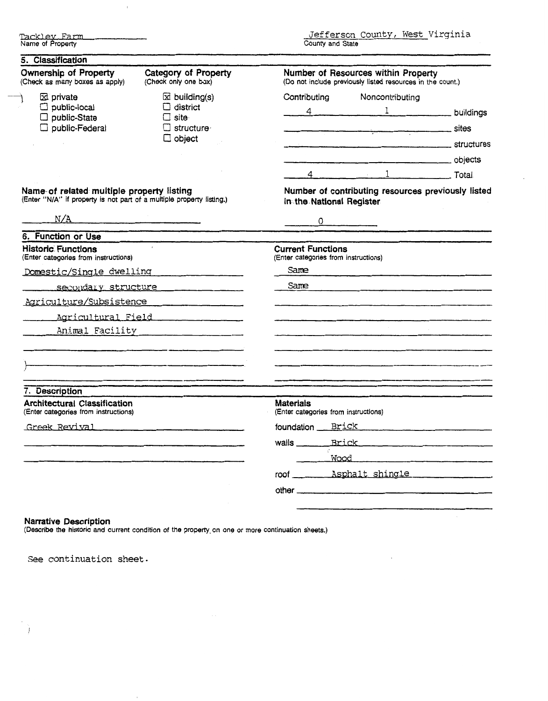**kl~v** Farm Name of Property

 $\bar{1}$ 

 $\cdot$ 

| <b>Ownership of Property</b><br>(Check as many boxes as apply)                                                             | Category of Property<br>(Check only one box)                                                                         | Number of Resources within Property<br>(Do not include previously listed resources in the count.) |  |  |
|----------------------------------------------------------------------------------------------------------------------------|----------------------------------------------------------------------------------------------------------------------|---------------------------------------------------------------------------------------------------|--|--|
| <b>Ed</b> private                                                                                                          | $\boxtimes$ building(s)                                                                                              | Contributing<br>Noncontributing                                                                   |  |  |
| $\Box$ public-local<br>nublic-State                                                                                        | $\Box$ district                                                                                                      | $\frac{4}{1}$ buildings                                                                           |  |  |
| $\Box$ public-Federal                                                                                                      | □ site·<br>$\square$ structure<br>$\Box$ object                                                                      |                                                                                                   |  |  |
|                                                                                                                            |                                                                                                                      |                                                                                                   |  |  |
|                                                                                                                            |                                                                                                                      |                                                                                                   |  |  |
|                                                                                                                            |                                                                                                                      |                                                                                                   |  |  |
| Name- of related multiple property listing<br>(Enter "N/A" if property is not part of a multiple property listing.)<br>N/A |                                                                                                                      | Number of contributing resources previously listed<br>in the National Register<br>$\circ$         |  |  |
| 6. Function or Use                                                                                                         |                                                                                                                      |                                                                                                   |  |  |
| Historic Functions<br>(Enter categories from instructions)                                                                 | $\mathbf{r}$                                                                                                         | <b>Current Functions</b><br>(Enter categories from instructions)                                  |  |  |
| Domestic/Single dwelling                                                                                                   |                                                                                                                      | Same<br>Same                                                                                      |  |  |
|                                                                                                                            | secondary structure                                                                                                  |                                                                                                   |  |  |
|                                                                                                                            | Agriculture/Subsistence                                                                                              |                                                                                                   |  |  |
|                                                                                                                            |                                                                                                                      |                                                                                                   |  |  |
|                                                                                                                            | Animal Facility 1999                                                                                                 |                                                                                                   |  |  |
|                                                                                                                            |                                                                                                                      |                                                                                                   |  |  |
|                                                                                                                            |                                                                                                                      |                                                                                                   |  |  |
|                                                                                                                            | .<br>Saturnal Silvers and are a structured and starting and the top of the starting and starting and the starting o  |                                                                                                   |  |  |
| 7. Description                                                                                                             |                                                                                                                      |                                                                                                   |  |  |
| <b>Architectural Classification</b>                                                                                        |                                                                                                                      | <b>Materials</b><br>(Enter categories from instructions)                                          |  |  |
|                                                                                                                            |                                                                                                                      |                                                                                                   |  |  |
| Greek Revival                                                                                                              |                                                                                                                      |                                                                                                   |  |  |
|                                                                                                                            | <u> 1989 - Jan Alexandri, martxa alemaniar argumento de la contrada de la contrada de la contrada de la contrada</u> |                                                                                                   |  |  |
|                                                                                                                            |                                                                                                                      |                                                                                                   |  |  |
| (Enter categories from instructions)                                                                                       |                                                                                                                      | roof _______ Asphalt shingle                                                                      |  |  |

## Narrative Description

 $\overline{\phantom{a}}$ Ì

Describe the historic and current condition of the property on one or more continuation sheets.)

**See continuation sheet.**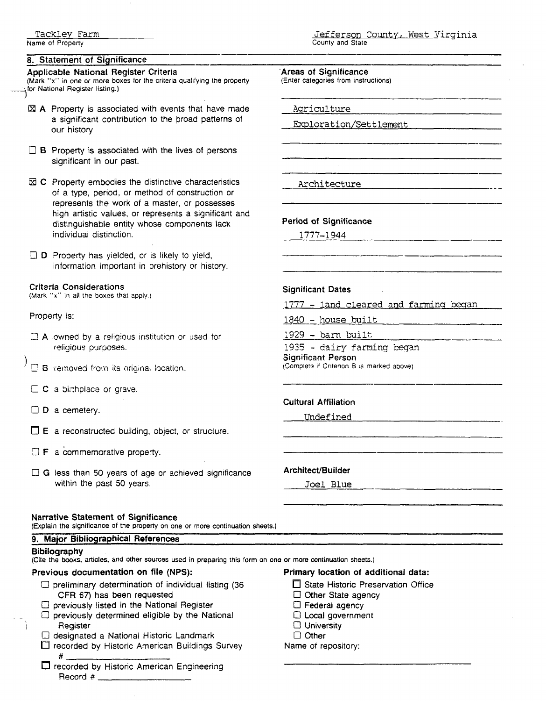## **8. Statement of Significance**

## Applicable National Register Criteria

(Mark "x" in one or more boxes for the criteria qualifying the property **Applicable National Re**<br>(Mark "x" in one or more box<br>box National Register listing.)

- $\boxtimes$  A Property is associated with events that have made a significant contribution to the broad patterns of our history.
- $\Box$  **B** Property is associated with the lives of persons significant in our past.
- $\boxtimes$  C Property embodies the distinctive characteristics of a type, period, or method of construction or represents the work of a master, or possesses high artistic values, or represents a significant and distinguishable entity whose components lack individual distinction.
- $\Box$  D Property has yielded, or is likely to yield, information important in prehistory or history.

### Criteria Considerations

**(Mark "K"** in **all the boxes that apply** )

Property is:

- $\Box$  **A** owned by a religious institution or used for religious purposes.
- $\Box$  B removed from its original location.
- $\Box$  C a birthplace or grave.
- $\square$  D a cemetery.
- E a reconstructed building, object, or structure.
- $\Box$  **F** a commemorative property.
- 0 **<sup>G</sup>**less than 50 years of age or achieved significance within the past 50 years.

## Narrative Statement of Significance

**(Explain the significance of the property on one or more continuation sheets.)** 

## **9.** Major Bibiiographical References

Bibilography **(Cite the books. articles, and other sources used in preparing this form on one or more continuation sheets.)** 

## Previous documentation on file (NPS):

- $\Box$  preliminary determination of individual listing (36 CFR 67) has been requested
- $\Box$  previously listed in the National Register
- $\square$  previously determined eligible by the National Register
- 0 designated a National Historic Landmark
- □ recorded by Historic American Buildings Survey
- # □ recorded by Historic American Engineering Record #

#### Jefferson County, West Yirginia **County and State**

---

'Areas of Significance

**(Enter categories from instructions)** 

Agriculture

-

Exploration/Settlement

Architecture

## Period of Significance and of Significance<br>1777–1944<br>1777–1944

#### Significant Dates

1777 - land cleared and farming began

1840 - house built

 $1929$  - barn built

1935 - dairy farming began Significant Person (Somple!e **ti Crlt'won 8 is markes aDOVe)** 

#### Cultural Affiiiation

Undefined

#### Architect/Builder

**Joel Blue** 

**Primary** location **of** additional data:

- $\Box$  State Historic Preservation Office
- Other State agency
- $\Box$  Federal agency
- 0 Local government
- D University
- $\Box$  Other

Name of repository: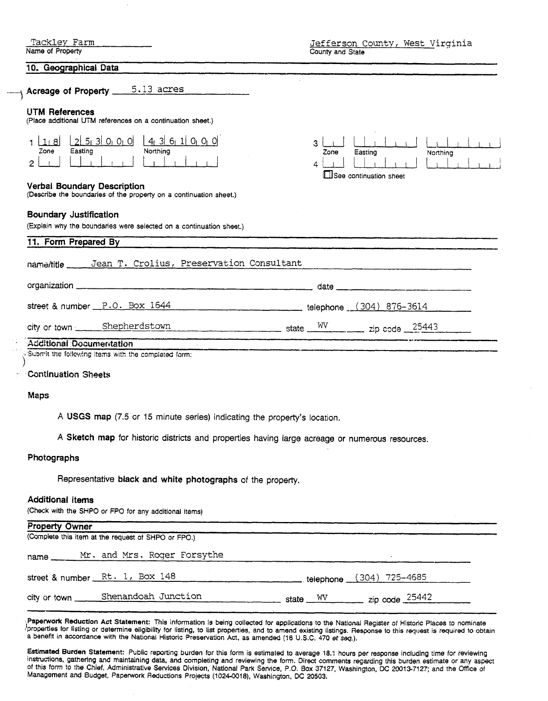| Tackley Farm<br>Name of Property                                                                               | Jefferson County, West Virginia<br>County and State                                                                |
|----------------------------------------------------------------------------------------------------------------|--------------------------------------------------------------------------------------------------------------------|
| 10. Geographical Data                                                                                          |                                                                                                                    |
| $_{\rm 1}$ Acreage of Property $\_$ 5.13 acres                                                                 |                                                                                                                    |
| <b>UTM References</b><br>(Place additional UTM references on a continuation sheet.)                            |                                                                                                                    |
| 25300<br>$4$ 3 6 1 0 0 0<br>1.8<br>1 I<br>Northing<br>Easting<br>Zone<br>$\overline{2}$                        | 3.<br>Easting<br>Northing<br>Zone<br>See continuation sheet                                                        |
| <b>Verbal Boundary Description</b><br>(Describe the boundaries of the property on a continuation sheet.)       |                                                                                                                    |
| <b>Boundary Justification</b><br>(Explain why the boundaries were selected on a continuation sheet.)           |                                                                                                                    |
| 11. Form Prepared By                                                                                           |                                                                                                                    |
| Jean T. Crolius, Preservation Consultant<br>$name/title$ <sub>----</sub>                                       |                                                                                                                    |
| organization entertainment and the contract of the contract of the contract of the contract of the contract of | <u> 1980 - Jan James, martin mars (b. 1980)</u>                                                                    |
| street & number P.O. Box 1644                                                                                  | telephone (304) 876-3614                                                                                           |
| city or town _____ Shepherdstown                                                                               | $\frac{\text{wt}}{\text{wt}}$ state $\frac{\text{wV}}{\text{wt}}$ zip code 25443                                   |
| Additional Documentation                                                                                       |                                                                                                                    |
| Submit the following items with the completed form:                                                            | .<br>1986 - Andrew Marian, masarakat menderi yang berjadi 1980 dan berjada pengatuan penganjuan Perancis Maria Per |
| <b>Continuation Sheets</b>                                                                                     |                                                                                                                    |
| <b>Maps</b>                                                                                                    |                                                                                                                    |

**A USGS map (7.5** or 15 minute series) indicating the property's location.

A Sketch map for historic districts and properties having large acreage or numerous resources.

## **Photographs**

Representative black **and white photographs** of the property.

## **Additional items**

(Check with the **SHPO** or FPO for any additional items)

| <b>Property Owner</b> |                                                     |                                                              |  |
|-----------------------|-----------------------------------------------------|--------------------------------------------------------------|--|
|                       | (Complete this item at the request of SHPO or FPO.) |                                                              |  |
|                       | name Mr. and Mrs. Roger Forsythe                    |                                                              |  |
|                       | street & number $Rt + 1$ , Box 148                  | telephone (304) 725-4685                                     |  |
| city or town          | Shenandoah Junction                                 | $\frac{1}{2}$ zip code $\frac{25442}{2}$<br>state $\sqrt{W}$ |  |
|                       |                                                     |                                                              |  |

**Papemork** Reduction Act Statement: This information is being collected for applications to the National Register oi Historic Places to nominate properties for listing or determine eligibility for listing, to list properties, and to amend existing listings. Response to this request is required to obtain a benefit in accordance wtth the National Histonc Preservation Act, as amended (16 U.S.C. 470 et **seq.).** 

Estimated Burden Statement: Public reporting burden for this form is estimated to average 18.1 hours per response including time for reviewing instructions, gathering and maintaining data, and completing and reviewing the form. Direct comments regarding this burden estimate or any aspect of this form to the Chief, Administrative Services Division, National Park Service, **P.O.** Box 37127, Washington, DC 200137127: and the Office of Management and Budget, Paperwork Reductions Projects **(1024-0018),** Washington, DC **20503,**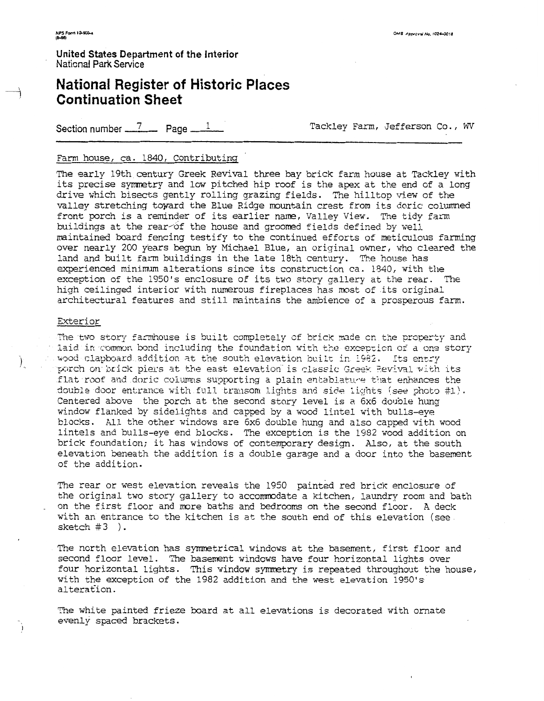United States Department of the Interior National Park Service

## **National Register of Historic Places Continuation Sheet**

Section number  $\frac{7}{2}$  Page  $\frac{1}{2}$ 

Tackley Farm, Jefferson Co., WV

## Farm house, ca. 1840, Contributing

The early 19th century Greek Revival three bay brick farm house at Tackley with its precise symmetry and low pitched hip roof is the apex at the end of a long drive which bisects gently rolling grazing fields. The hilltop view of the valley stretching toward the Blue Ridge mountain crest from its doric columned front porch is a reminder of its earlier name, Valley View. The tidy farm buildings at the rear of the house and groomed fields defined by well maintained board fencing testify to the continued efforts of meticulous farming over nearly 200 years begun by Michael Blue, an original owner, who cleared the land and built farm buildings in the late 18th century. The house has experienced minimum alterations since its construction ca. 1840, with the exception of the 1950's enclosure of its two story gallery at the rear. The high ceilinged interior with numerous fireplaces has most of its original architectural features and still maintains the ambience of a prosperous farm.

## Exterior

 $\sum_{i=1}^{n}$ 

The two story farmhouse is built completely of brick made on the property and laid in common bond including the foundation with the exception of a one story mood clapboard addition at the south elevation built in 1982. Its entry porch on brick piers at the east elevation is classic Greek Revival with its flat roof and doric columns supporting a plain entablature that enhances the double door entrance with full transom lights and side lights (see photo #1). Centered above the porch at the second story level is a 6x6 double hung window flanked by sidelights and capped by a wood lintel with bulls-eye blocks. All the other windows are 6x6 double hung and also capped with wood lintels and bulls-eye end blocks. The exception is the 1982 wood addition on brick foundation; it has windows of contemporary design. Also, at the south elevation beneath the addition is a double garage and a door into the basement of the addition.

The rear or west elevation reveals the 1950 painted red brick enclosure of the original two story gallery to accommodate a kitchen, laundry room and bath on the first floor and more baths and bedrooms on the second floor. A deck with an entrance to the kitchen is at the south end of this elevation (see. sketch  $#3$  ).

The north elevation has symmetrical windows at the basement, first floor and second floor level. The basement windows have four horizontal lights over four horizontal lights. This window symmetry is repeated throughout the house, with the exception of the 1982 addition and the west elevation 1950's alteration.

The white painted frieze board at all elevations is decorated with ornate evenly spaced brackets.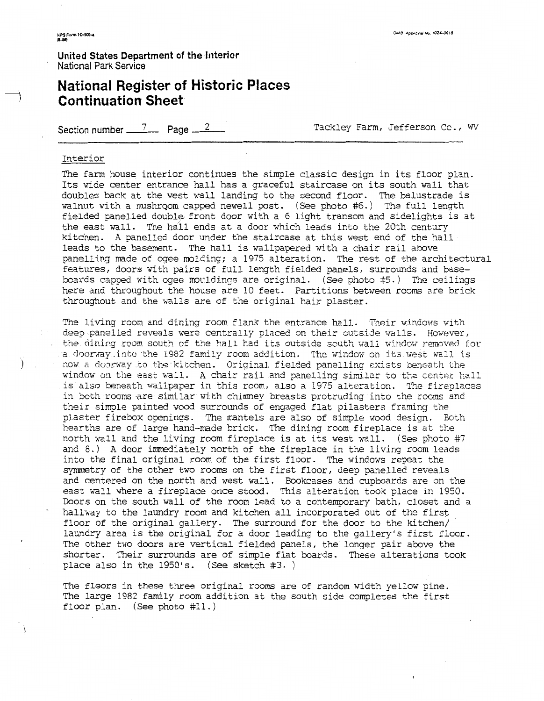**United States Department of the interior**  Naticnal Park **Service** 

## **National Register of Historic Places Continuation Sheet**

Section number  $\frac{7}{2}$  Page  $\frac{2}{3}$  Page Tackley Farm, Jefferson Cc., WV

#### Interior

The farm house interior continues the simple classic design in its floor plan. Its wide center entrance hall has a graceful staircase on its south wall that doubles back at the west wall landing to the second floor. The balustrade is walnut with a mushroom capped newell post. (See photo #6.) The full length fielded panelled double front door with a 6 light transom and sidelights is at the east wall. The hall ends at a door which leads into the 20th century kitchen. A panelled door under the staircase at this west end of the hall leads to the basement. The hall is wallpapered with a chair rail above panelling made of ogee molding; a 1975 alteration. The rest of the architectural features, doors with pairs of full length fielded panels, surrounds and basebards capped with qee movldings are original. (See photo #5.) 'Tie ceilings here and throughout the house are 10 feet. Partitions between rooms are brick throughout and the walls are of the original hair plaster.

The living room and dining room flank the entrance hall. Their windows with deep panelied reveals were centrally placed on their outside walls. However, the dining room south of the hall had its outside south wall window removed for a doorway into the 1982 family room addition. The window on its west wall is now a doorway to the kicchen. Original fielded panelling exists beneath the window on the east wall. A chair rail and panelling similar to the center hall is also beneath wallpaper in this room, also a 1975 alteration. The fireplaces in both rooms are similar with chimney breasts protruding into the rooms and their simple painted wood surrounds of engaged flat pilasters framing the plaster firebox openings. The mantels are also of simple wood design. Eoth hearths are of large hand-made brick. The dining room fireplace is at the north wall and the living room fireplace is at its west wall. (See photo #7 and  $8.$ ) A door immediately north of the fireplace in the living room leads into the final original room of the first floor. The windows repeat the synmetry of the other two rooms on the first floor, deep panelled reveals and centered on the north and west wall. Bookcases and cupboards are on the east wall where a fireplace once stood. This alteration took place in 1950. Doors on the south wall of the room lead to a contemporary bath, closet and a hallway to the laundry room and kitchen all incorporated out of the first floor of the original gallery. The surround for the door to the kitchen/ laundry area is the original for a door leading to the gallery's first floor. The other two doors are vertical fielded panels, the longer pair above the shorter. Their surrounds are of simple flat boards. These alterations took place also in the 1950's. (See sketch **#3.** )

The floors in these three original rooms are of random width yellow pine. The large 1982 family room addition at the south side completes the first floor plan. (See photo #11.)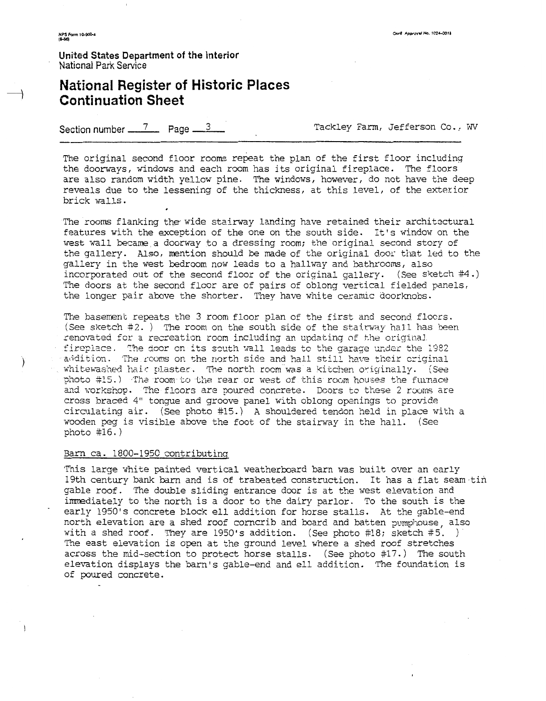**United States Department of the Interior**  Naticnal Park Service

# **National Register of Historic Places Continuation Sheet**  <sup>2</sup><br>
Jnited States Department of the Interior<br>
National Register of Historic Places<br>
Continuation Sheet<br>
Section number <u>- 7</u> Page 3 <u>Tackley Farm</u>, Jefferson Co., WV<br>
Tackley Farm, Jefferson Co., WV

The original second floor rooms repeat the plan of the first floor including the doorways, windows and each room has its original fireplace. The floors are also random width yellow pine. The windows, however, do not have the deep reveals due to the lessening of the thichess, at this level, of the exterior brick walls.

The rooms flanking the wide stairway landing have retained their architectural features with the exception of the one on the south side. It's window on the west wall became a doorway to a dressing room; the original second story of the gallery. Also, mention should be made of the original door that led to the gallery in the west bedroom now leads to a hallway and bathrooms, also incorporated out of the second floor of the original gallery. (see sketch #4.) The doors at the second floor are of pairs of oblong vertical fielded panels, the longer pair above the shorter. They have white ceramic doorknobs.

The basement repeats the 3 room floor plan of the first and second flocrs. (See sketch  $#2.$  ) The room on the south side of the stairway hall has been renovated for a recreation room including an updating of the original fireplace. The door on its south wall leads to the garage under the 1982 ) at addition. The rooms on the north side and hall still have their criginal whitewashed hair plaster. The north room was a kitchen originally. (See photo #15.) The room to the rear or west of this room houses the furnace and workshop. The flcors are poured concrete. Doors to these 2 rooms are cross braced 4" tongue and groove panel with oblong openings to provide circulating air. (See photo #15.) A shouldered tendon held in place with a wooden peg is visible above the foot of the stairway in the hall. (See photo  $#16.$ )

#### Barn ca. 1800-1950 contributinq

This large white painted vertical weatherboard barn was built over an early 19th century bank barn and is of trabeated construction. It has a flat seam tin gable roof. The double sliding entrance door is at the west elevation and immediately to the north is a door to the dairy parlor. To the south is the early 1950's concrete block ell addition for horse stalls. At the gable-end north elevation are a shed roof corncrib and board and batten pumphouse, also with a shed roof. They are 1950's addition. (See photo #18; sketch #5. ) The east elevation is open at the ground level where a shed roof stretches across the mid-section to protect horse stalls. (see photo #17.) The south elevation displays the barn's gable-end and ell addition. The foundation is of poured concrete.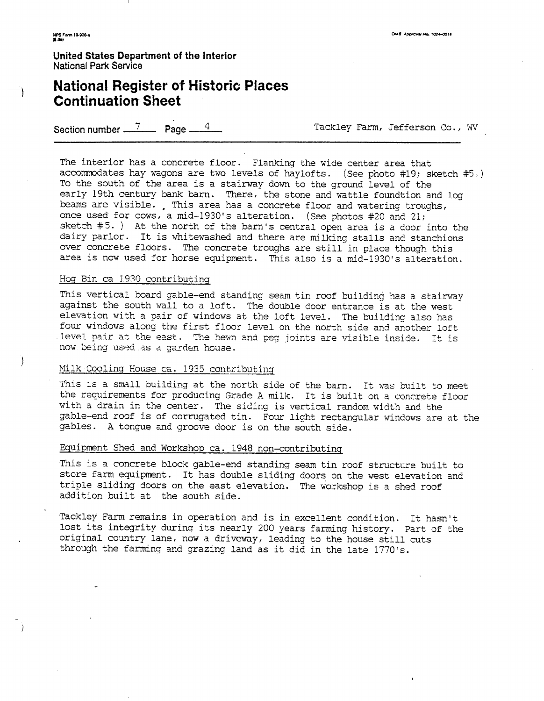$\rightarrow$ 

**United States Department of the Interior National Park Sewice** 

## **National Register of Historic Places Continuation Sheet**

**Section number 11 Page**  $4$  **Tackley Farm, Jefferson Co., WV'** 

The interior has a concrete floor. Flanking the wide center area that accommodates hay wagons are two levels of haylofts, (See photo #19; sketch #5.) To the south of the area is a stairway down to the ground level of the early 19th century bank barn. There, the stone and wattle foundtion and log beams are visible. This area has a concrete floor and watering troughs, once used for cows, a mid-1930's alteration. (See photos #20 and 21; sketch  $#5.$  ) At the north of the barn's central open area is a door into the dairy parlor. It is whitewashed and there are milking stalls and stanchions over concrete floors. The concrete troughs are still in place though this area is now used for horse equipment. This also is a mid-1930's alteration.

#### Hog Bin ca 1930 contributing

This vertical board gable-end standing seam tin roof building has a stairway against the south wall to a loft. The double door entrance is at the west elevation with a pair of windows at the loft level. The building also has four windows along the first floor level on the north side and another loft level pair at the east. The hewn and peg joints are visible inside. It is now being used as a garden house.

## Milk Cooling House ca. 1935 contributing

This is a small building at the north side of the barn. It was built to meet the requirements for producing Grade A milk. It is built on a concrete floor with a drain in the center. The siding is vertical random width and the gable-end roof is of corrugated tin. Four light rectangular windows are at the gables. A tongue and groove door is on the south side.

## Equipment Shed and Workshop ca. 1948 non-contributinq

This is a concrete block gable-end standing seam tin roof structure built to store farm equipment. It has double sliding doors on the west elevation and triple sliding doors on the east elevation. The workshop is a shed roof addition built at the south side.

Tackley Farm remains in operation and is in excellent condition. It hasn't lost its integrity during its nearly 200 years farming history. Part of the original country lane, now a driveway, leading to the house still cuts through the farming and grazing land as it did in the late 1770's.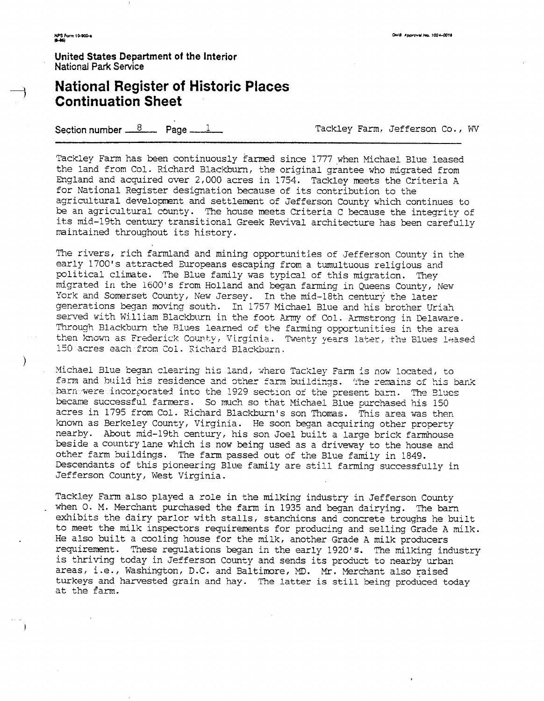$\rightarrow$ 

United States Department of the Interior **National Park Service** 

## **National Register of Historic Places Continuation Sheet**

Section number  $\frac{8}{2}$  Page  $\frac{1}{2}$ 

Tackley Farm, Jefferson Co., WV

Tackley Farm has been continuously farmed since 1777 when Michael Blue leased the land from Col. Richard Blackburn, the original grantee who migrated from England and acquired over 2,000 acres in 1754. Tackley meets the Criteria A for National Register designation because of its contribution to the agricultural development and settlement of Jefferson County which continues to be an agricultural county. The house meets Criteria C because the integrity of its mid-19th century transitional Greek Revival architecture has been carefully maintained throughout its history.

The rivers, rich farmland and mining opportunities of Jefferson County in the early 1700's attracted Europeans escaping from a tumultuous religious and political climate. The Blue family was typical of this migration. They migrated in the 1600's from Holland and began farming in Queens County, New York and Somerset County, New Jersey. In the mid-18th century the later generations began moving south. In 1757 Michael Blue and his brother Uriah served with William Blackburn in the foot Army of Col. Armstrong in Delaware. Through Blackburn the Blues learned of the farming opportunities in the area then known as Frederick County, Virginia. Twenty years later, the Blues leased 150 acres each from Col. Richard Blackburn,

Michael Blue began clearing his land, where Tackley Farm is now located, to farm and build his residence and other farm buildings. The remains of his bank barn were incorporated into the 1929 section of the present barn. The Blues became successful farmers. So much so that Michael Blue purchased his 150 acres in 1795 from Col. Richard Blackburn's son Thomas. This area was then known as Berkeley County, Virginia. He soon began acquiring other property nearby. About mid-19th century, his son Joel built a large brick farmhouse beside a country lane which is now being used as a driveway to the house and other farm buildings. The farm passed out of the Blue family in 1849. Descendants of this pioneering Blue family are still farming successfully in Jefferson County, West Virginia.

Tackley Farm also played a role in the milking industry in Jefferson County when O. M. Merchant purchased the farm in 1935 and began dairying. The barn exhibits the dairy parlor with stalls, stanchions and concrete troughs he built to meet the milk inspectors requirements for producing and selling Grade A milk. He also built a cooling house for the milk, another Grade A milk producers requirement. These regulations began in the early 1920's. The milking industry is thriving today in Jefferson County and sends its product to nearby urban areas, i.e., Washington, D.C. and Baltimore, MD. Mr. Merchant also raised turkeys and harvested grain and hay. The latter is still being produced today at the farm.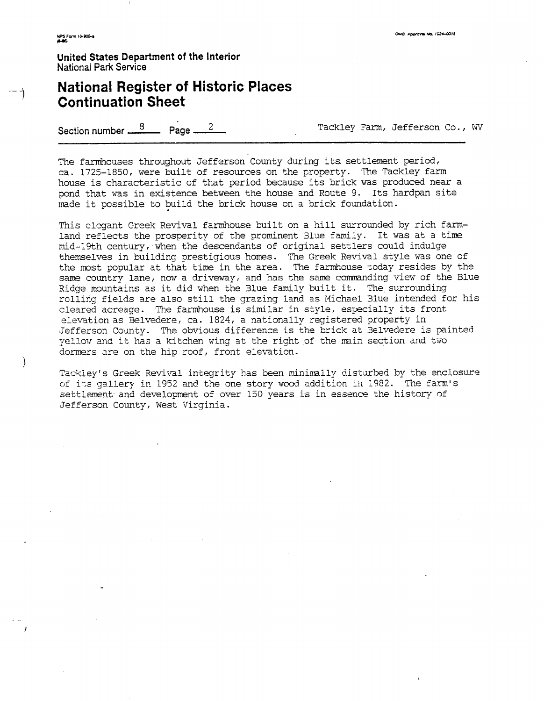$\mathcal{E}$ 

**United States Department of the Interior**  National **Park** Service

## **National Register of Historic Places Continuation Sheet**

Section number  $\frac{8}{2}$  Page  $\frac{2}{2}$  Tackley Farm, Jefferson Co., WV

The farmhouses throughout Jefferson County during its settlement period, ca. 1725-1850, were built of resources on the property. The Tackley farm house is characteristic of that period because its brick was produced near a pond that was in existence between the house and Route 9. Its hardpan site rnade it possible to build the brick house on a brick foundation.

This elegant Greek Revival farmhouse built on a hill surrounded by rich farmland reflects the prosperity of the prominent Blue family. It was at a time mid-19th century, when the descendants of original settlers could indulge themselves in building prestigious homes. The Greek Revival style was one of the most popular at that time in the area. The farmhouse today resides by the same country lane, now a driveway, and has the same commanding view of the Blue Ridge mountains as it did when the Blue family built it. The surrounding rolling fields are also still the grazing land as Michael Blue intended for his cleared acreage. The farmhouse is similar in style, especially its front elevation as Belvedere, ca. 1824, a nationally registered property in Jefferson County. The obvious difference is the brick at Belvedere is painted yellow and it has a kitchen wing at the right of the main section and two dormers are on the hip roof, front elevation.

Tackiey's Greek Revival integrity has been minimally disturbed by the enclosure of its gallery in 1952 and the one story wood addition in 1982. The farm's settlement and development of over 150 years is in essence the history of Jefferson County, West Virginia.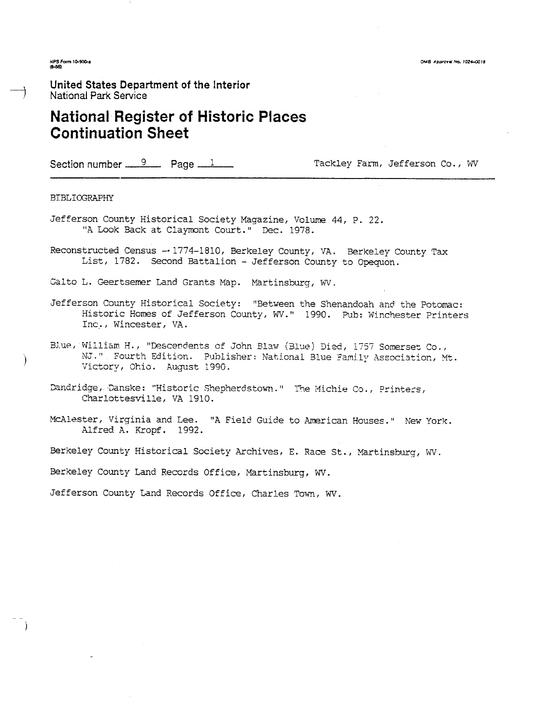OMB Approval No. 1024-0018

NPS Form 10-900-a

## **United States Department of the Interior**  National **Park** Service

## **National Register of Historic Places Continuation Sheet**

Section number 9 Page 1 Reserve Tackley Farm, Jefferson Co., WV

#### BIBLIOGRAPHY

- Jefferson County Historical Society Magazine, Volume 44, P. 22. "A Look Back at Claymont Court." Dec. 1978.
- Reconstructed Census -- 1774-1810, Berkeley County, VA. Berkeley County Tax List, 1782. Second Battalion - Jefferson County to Opquon.
- Galto L. Geertsemer Land Grants Map. Martinsburg, WV.
- Jefferson County Historical Society: "Between the Shenandoah and the Potomac: Historic Homes of Jefferson County, WV." 1990. Pub: Winchester Printers Inc., Wincester, VA.
- Blue, William H., "Descendents of John Blaw (Blue) Died, 1757 Somerset Co., NJ." Fourth Edition. Publisher: National Blue Family Association, Mt. Victory, Ohio. August 1990.
- Dandridge, Danske: "Historic Shepherdstown." 1 The Michie Co., Printers, Charlottesville, VA 1910.
- McAlester, Virginia and Lee. "A Field Guide to American Houses." New York. Alfred A. Kropf. 1992.

Berkeley Comty Historical Society Archives, E. Race St., Martinsburg, WV.

Berkeley County Land Records Office, Martinsburg, WV.

Jefferson Cowty Land Records Office, Charles Tom, WV.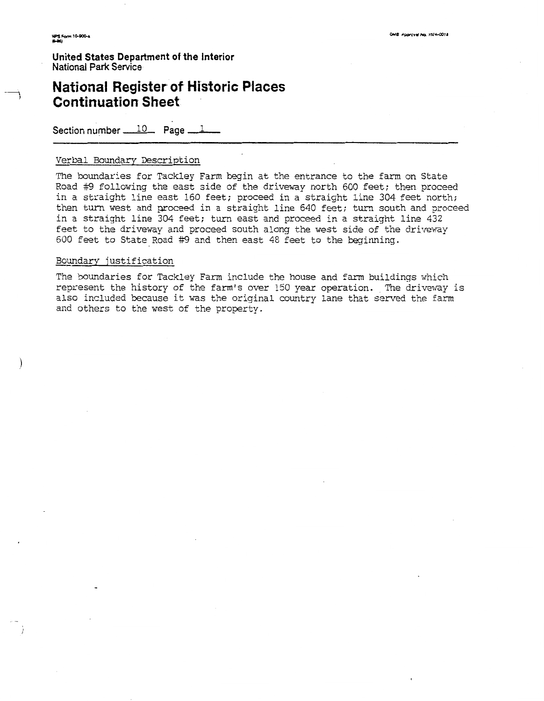**United States Department of the interior National** Park Service

## **National Register of Historic Places Continuation Sheet**

Section number 10 **Page** 1

## Verbal Boundary Description

The boundaries for Tackley Farm begin at the entrance to the farm on State Road #9 following the east side of the driveway north 600 feet; then proceed in a straight line east 160 feet; proceed in a straight line 304 feet north; then turn west and proceed in a straight line 540 feet; turn south and proceed in a straight line 304 feet; turn east and proceed in a straight line 432 feet to the driveway and proceed south along the west side of the driveway 600 feet to State Road #9 and then east 48 feet to the beginning.

## Boundary justification

The boundaries for Tackley Farm include the house and farm buildings vhich represent the history of the farm's over 150 year operation. The driveway is also included because it was the original country lane that served the farm and others to the west of the property.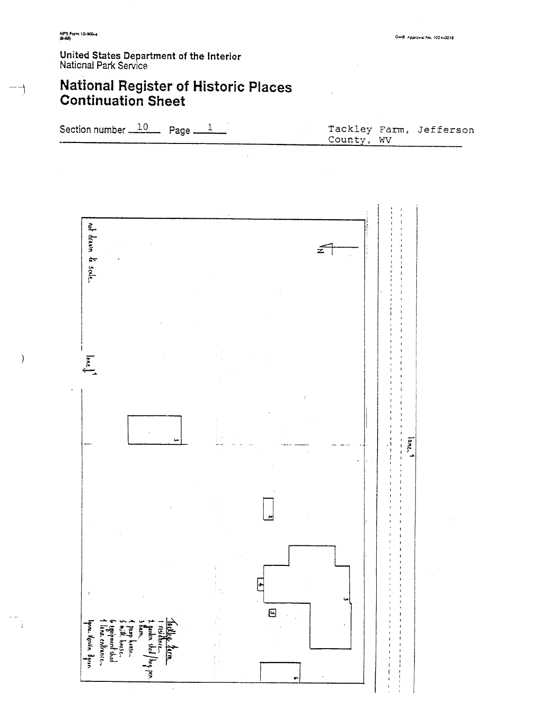$\mathcal{C}$ 

United States Department of the Interior<br>National Park Service

## **National Register of Historic Places**<br>Continuation Sheet

Section number  $10$  Page  $-$ Tackley Farm, Jefferson  $\mathbf{1}$ County, WV not drawn to scale.  $\tilde{z}$ 

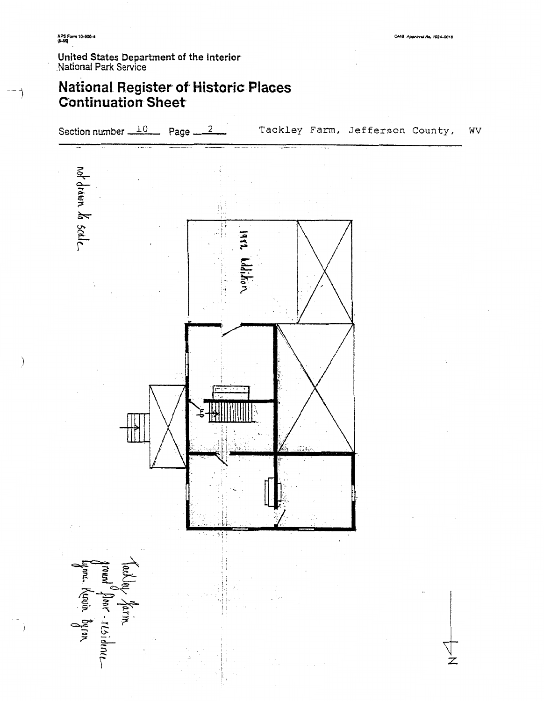## **United States Department of the interior**  National Park Service

## **National Register of Historic Places Continuation Sheet**

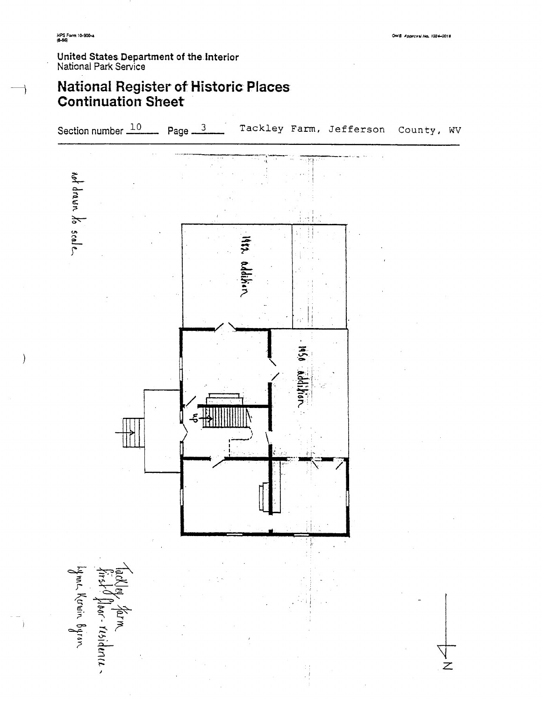OMB Approval No. 1024-0018

## **United States Department of the** Interior Naticnal Park Sewice

## **National Register of Historic Places Continuation Sheet**

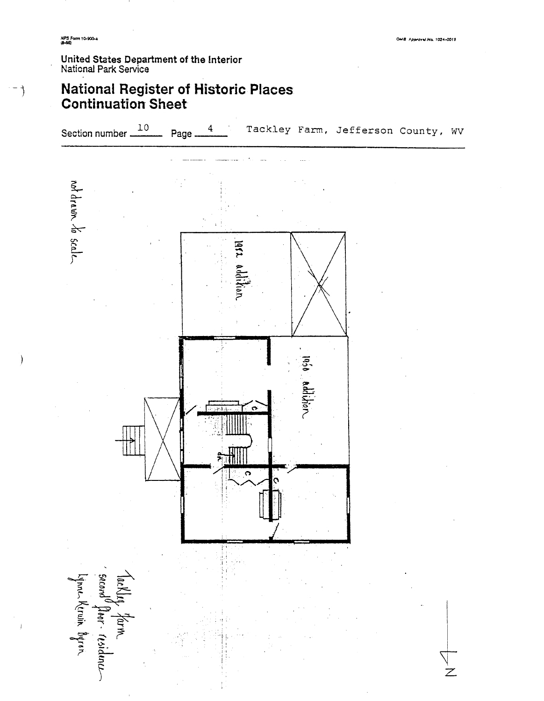$-$  )

## **United States Department of the lnterisr**  National Park Service

## **National Register of Historic Places Continuation Sheet**

![](_page_15_Figure_4.jpeg)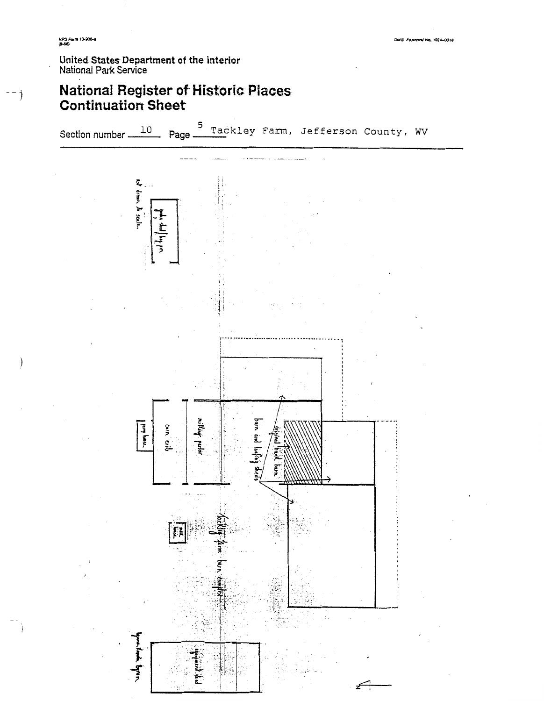**NPS Form 10-900-4**<br>(8-86)

United States Department of the Interior<br>National Park Service

## **National Register of Historic Places**<br>Continuation Sheet

Section number 10 Page Tackley Farm, Jefferson County, WV

![](_page_16_Figure_5.jpeg)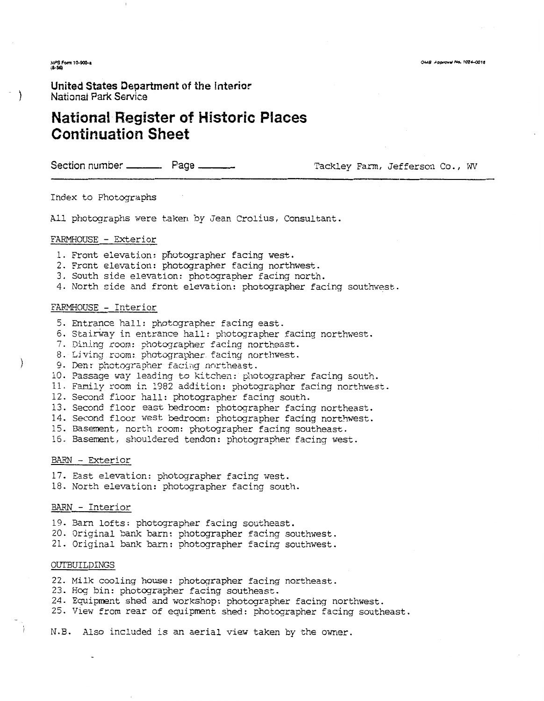NPS Form 10-900-a

**United States Department of** the **Interior**  National Park Service

## **National Register of Historic Places Continuation Sheet**

Section number \_\_\_\_\_\_\_\_ Page \_\_\_\_\_\_\_\_ Tackley Farm, Jefferson Co., WV

Index to Photographs

All photographs were taken by Jean Crolius, Consultant.

#### FARMHOUSE - Exterior

- 1. Front elevation: photographer facing west.
- 2. Front elevation: photographer facing northwest.
- 3, South side elevation: photographer facinq north.
- 4. North side and front elevation: photographer facing southwest.

## FARMHOUSE - Interior

- 5. Entrance hall: ghotographer facing east.
- 6. Stairway in entrance hall: photographer facing northwest.
- 7. Dining room: photographer facing northeast.
- 8. Living room: photographer facing northwest.
- 9. Den: photographer facing northeast.
- iO. Passage way leading to kitchen: photographer facing south.
- 11. Family room in 1982 addition: photographer facing northwest.
- 12. Second floor hall: photographer facing south.
- 13. Second floor east bedroom: photographer facing northeast.
- 14. Second floor west bedroom: photographer facing northwest.
- 15. Basement, north room: photographer facing southeast.
- 15. Basement, shouldered tendon: photographer facing west.

#### BARN - Exterior

 $\rightarrow$ 

- 17. East elevation: photographer facing west.
- 18. North elevation: photographer facing south.

#### BARN - Interior

- 19. Barn lofts: photographer facing southeast.
- 20. Original bank barn: photographer facing southwest.
- 21. Original bank barn: photographer facing southwest.

### OUTBUILDINGS

- 22. Milk cooling house: photographer facing northeast.
- 23. Hog bin: photographer facing southeast.
- 24. Equipment shed and workshop: photographer facing northwest.
- 25. View from rear of equipment shed: photographer facing southeast.

N.B. Also included is an aerial view taken by the owner.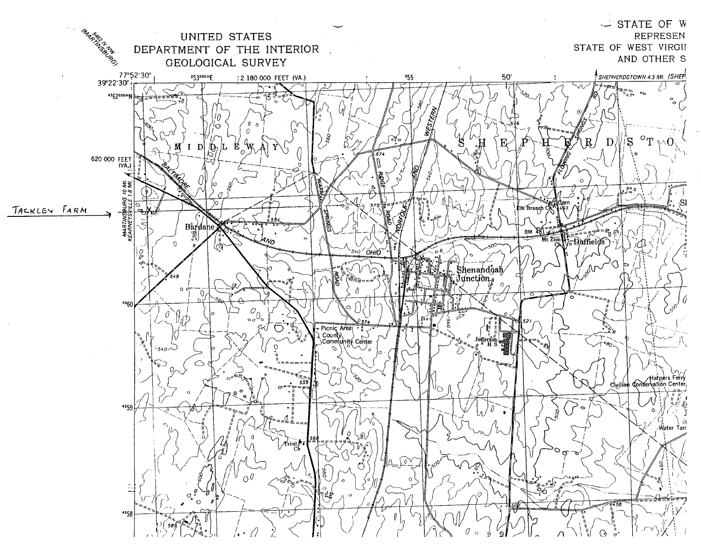![](_page_18_Figure_0.jpeg)